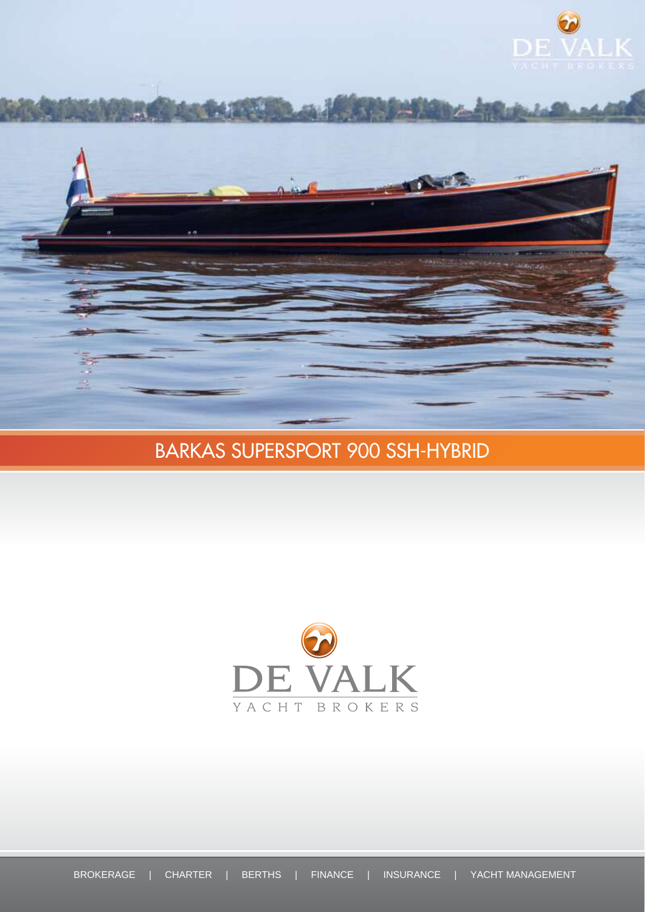





[BROKERAGE](https://www.devalk.nl/en/Yachts-for-sale.html) | [CHARTER](https://www.devalk.nl/en/Services/32/Charter.html) | [BERTHS](https://www.devalk.nl/en/berths.html) | [FINANCE](http://www.devalkfi.nl) | [INSURANCE](http://www.devalkfi.nl) | [YACHT MANAGEMENT](http://www.falconrydell.com)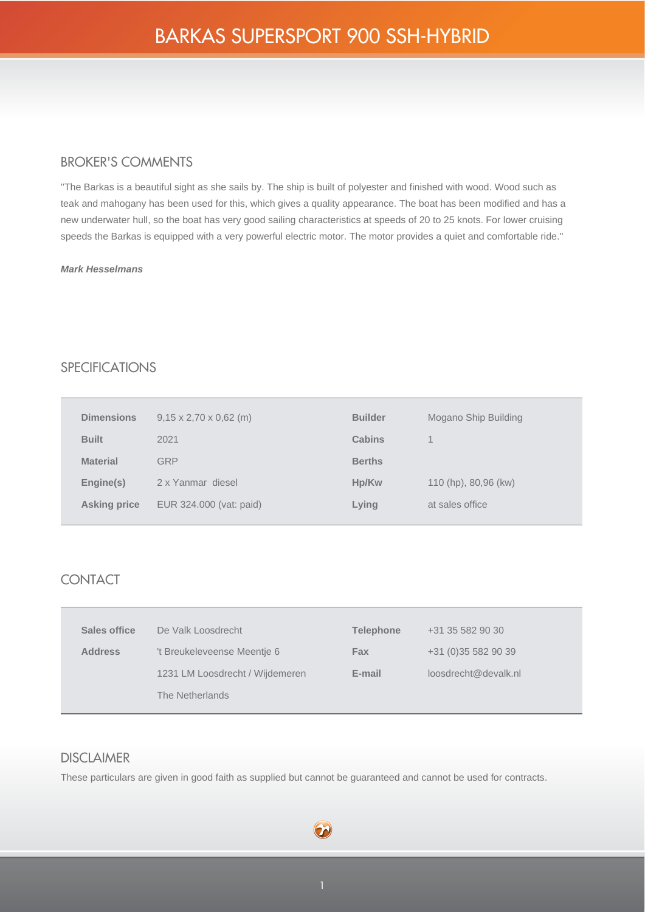#### **BROKER'S COMMENTS**

''The Barkas is a beautiful sight as she sails by. The ship is built of polyester and finished with wood. Wood such as teak and mahogany has been used for this, which gives a quality appearance. The boat has been modified and has a new underwater hull, so the boat has very good sailing characteristics at speeds of 20 to 25 knots. For lower cruising speeds the Barkas is equipped with a very powerful electric motor. The motor provides a quiet and comfortable ride.''

#### **Mark Hesselmans**

#### **SPECIFICATIONS**

| <b>Dimensions</b>   | $9,15 \times 2,70 \times 0,62$ (m) | <b>Builder</b> | Mogano Ship Building |
|---------------------|------------------------------------|----------------|----------------------|
| <b>Built</b>        | 2021                               | Cabins         | 1                    |
| <b>Material</b>     | <b>GRP</b>                         | <b>Berths</b>  |                      |
| Engine(s)           | 2 x Yanmar diesel                  | Hp/Kw          | 110 (hp), 80,96 (kw) |
| <b>Asking price</b> | EUR 324.000 (vat: paid)            | Lying          | at sales office      |
|                     |                                    |                |                      |

#### **CONTACT**

| Sales office   | De Valk Loosdrecht              | <b>Telephone</b> | +31 35 582 90 30     |
|----------------|---------------------------------|------------------|----------------------|
| <b>Address</b> | 't Breukeleveense Meentje 6     | <b>Fax</b>       | +31 (0) 35 582 90 39 |
|                | 1231 LM Loosdrecht / Wijdemeren | E-mail           | loosdrecht@devalk.nl |
|                | The Netherlands                 |                  |                      |

#### **DISCLAIMER**

These particulars are given in good faith as supplied but cannot be guaranteed and cannot be used for contracts.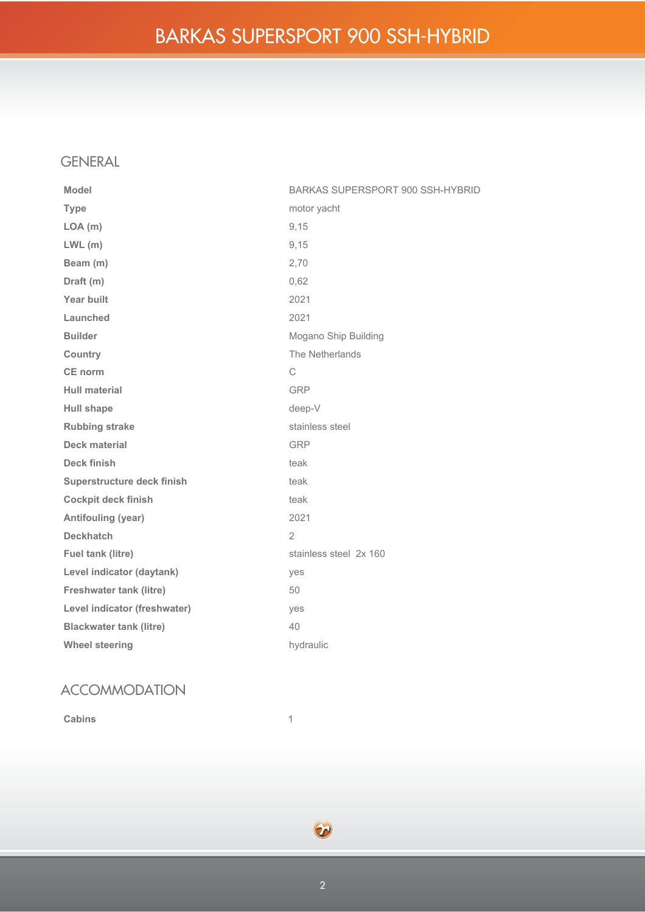### **GENERAL**

| <b>Model</b>                   | <b>BARKAS SUPERSPORT 900 SSH-HYBRID</b> |
|--------------------------------|-----------------------------------------|
| <b>Type</b>                    | motor yacht                             |
| $LOA$ (m)                      | 9,15                                    |
| $LWL$ (m)                      | 9,15                                    |
| Beam (m)                       | 2,70                                    |
| Draft (m)                      | 0,62                                    |
| Year built                     | 2021                                    |
| Launched                       | 2021                                    |
| <b>Builder</b>                 | Mogano Ship Building                    |
| Country                        | The Netherlands                         |
| CE norm                        | C                                       |
| <b>Hull material</b>           | <b>GRP</b>                              |
| <b>Hull shape</b>              | deep-V                                  |
| <b>Rubbing strake</b>          | stainless steel                         |
| <b>Deck material</b>           | <b>GRP</b>                              |
| Deck finish                    | teak                                    |
| Superstructure deck finish     | teak                                    |
| <b>Cockpit deck finish</b>     | teak                                    |
| Antifouling (year)             | 2021                                    |
| <b>Deckhatch</b>               | $\overline{2}$                          |
| Fuel tank (litre)              | stainless steel 2x 160                  |
| Level indicator (daytank)      | yes                                     |
| <b>Freshwater tank (litre)</b> | 50                                      |
| Level indicator (freshwater)   | yes                                     |
| <b>Blackwater tank (litre)</b> | 40                                      |
| <b>Wheel steering</b>          | hydraulic                               |

### **ACCOMMODATION**

**Cabins 1**

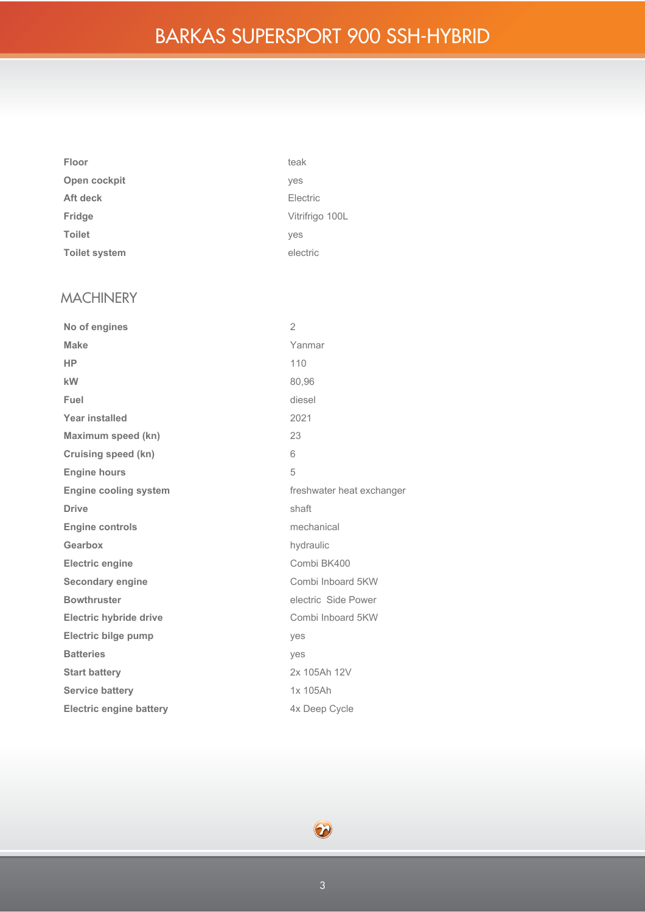| Floor                | teak            |
|----------------------|-----------------|
| Open cockpit         | yes             |
| Aft deck             | Electric        |
| Fridge               | Vitrifrigo 100L |
| <b>Toilet</b>        | yes             |
| <b>Toilet system</b> | electric        |

### **MACHINERY**

| No of engines                  | $\overline{2}$            |
|--------------------------------|---------------------------|
| <b>Make</b>                    | Yanmar                    |
| <b>HP</b>                      | 110                       |
| kW                             | 80,96                     |
| Fuel                           | diesel                    |
| Year installed                 | 2021                      |
| Maximum speed (kn)             | 23                        |
| Cruising speed (kn)            | 6                         |
| <b>Engine hours</b>            | 5                         |
| <b>Engine cooling system</b>   | freshwater heat exchanger |
| <b>Drive</b>                   | shaft                     |
| <b>Engine controls</b>         | mechanical                |
| Gearbox                        | hydraulic                 |
| <b>Electric engine</b>         | Combi BK400               |
| Secondary engine               | Combi Inboard 5KW         |
| <b>Bowthruster</b>             | electric Side Power       |
| <b>Electric hybride drive</b>  | Combi Inboard 5KW         |
| <b>Electric bilge pump</b>     | yes                       |
| <b>Batteries</b>               | ves                       |
| <b>Start battery</b>           | 2x 105Ah 12V              |
| <b>Service battery</b>         | 1x 105Ah                  |
| <b>Electric engine battery</b> | 4x Deep Cycle             |

 $\odot$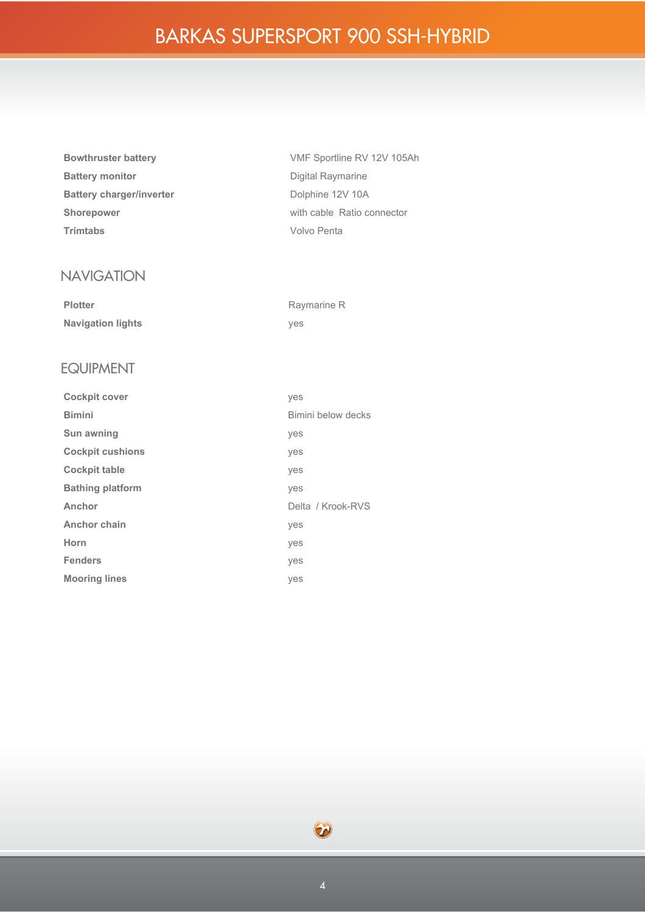**Raymarine R** 

| <b>Bowthruster battery</b>      | VMF Sportline RV 12V 105Ah |
|---------------------------------|----------------------------|
| <b>Battery monitor</b>          | Digital Raymarine          |
| <b>Battery charger/inverter</b> | Dolphine 12V 10A           |
| Shorepower                      | with cable Ratio connector |
| Trimtabs                        | Volvo Penta                |

### **NAVIGATION**

| <b>Plotter</b>           | Ray |
|--------------------------|-----|
| <b>Navigation lights</b> | ves |

### **EQUIPMENT**

| <b>Cockpit cover</b>    | yes                |
|-------------------------|--------------------|
| <b>Bimini</b>           | Bimini below decks |
| Sun awning              | yes                |
| <b>Cockpit cushions</b> | yes                |
| <b>Cockpit table</b>    | yes                |
| <b>Bathing platform</b> | yes                |
| Anchor                  | Delta / Krook-RVS  |
| Anchor chain            | yes                |
| Horn                    | yes                |
| <b>Fenders</b>          | yes                |
| <b>Mooring lines</b>    | yes                |

![](_page_4_Picture_7.jpeg)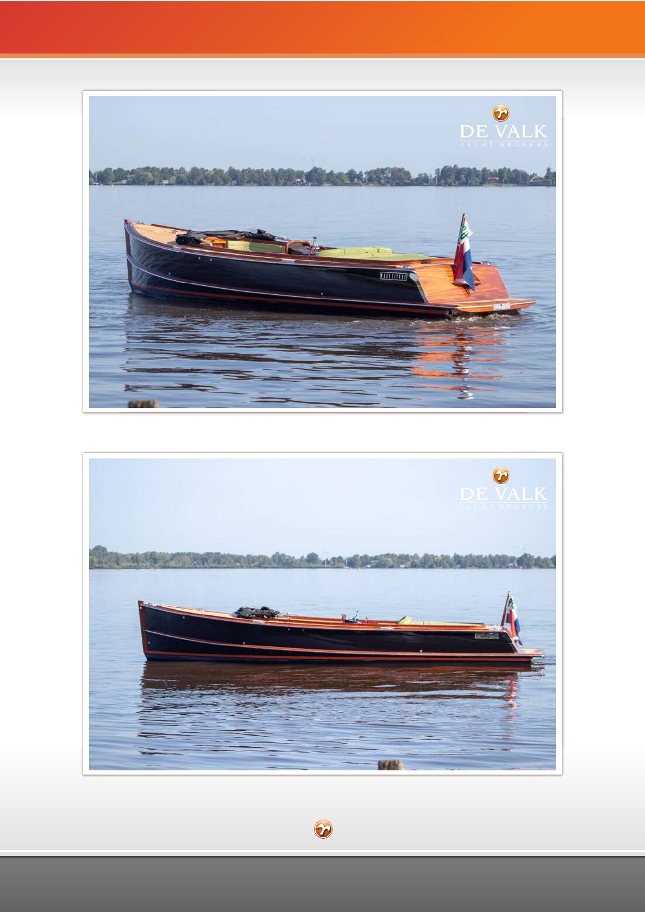# $% $5.$ \$6 683(563257 66+ + < %5,

![](_page_5_Picture_2.jpeg)

![](_page_5_Picture_3.jpeg)

 $\bigodot$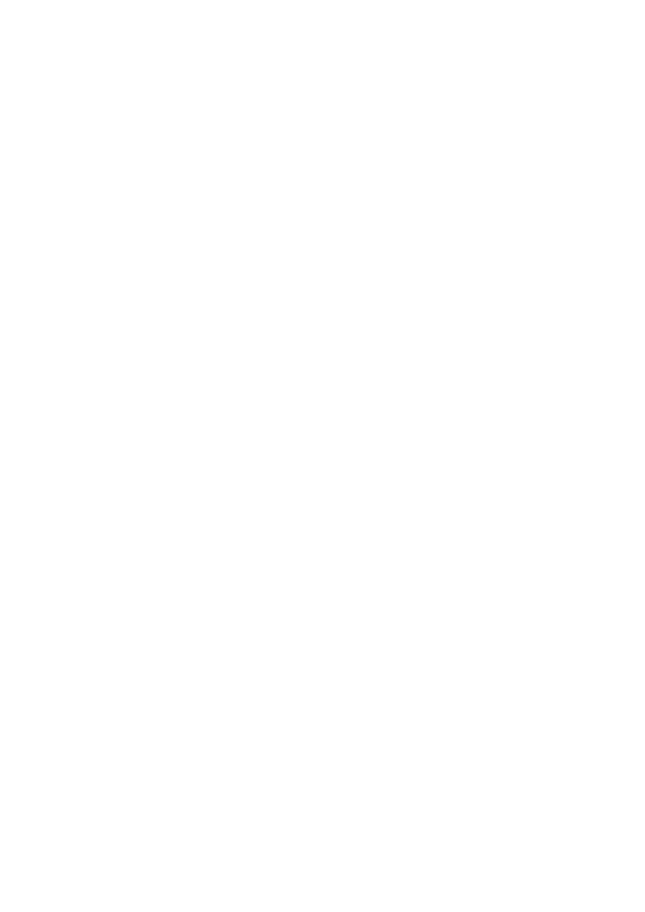| ---- |  |
|------|--|
|      |  |
|      |  |
|      |  |
|      |  |
|      |  |
|      |  |
|      |  |
|      |  |
|      |  |
|      |  |
|      |  |
|      |  |
|      |  |
|      |  |
|      |  |
|      |  |
|      |  |
|      |  |
|      |  |
|      |  |
|      |  |
|      |  |
|      |  |
|      |  |
|      |  |
|      |  |
|      |  |
|      |  |
|      |  |
|      |  |
|      |  |
|      |  |
|      |  |
|      |  |
|      |  |
|      |  |
|      |  |
|      |  |
|      |  |
|      |  |
|      |  |
|      |  |
|      |  |
|      |  |
|      |  |
|      |  |
|      |  |
|      |  |
|      |  |
|      |  |
|      |  |
|      |  |
|      |  |
|      |  |
|      |  |
|      |  |
|      |  |
|      |  |

![](_page_6_Picture_1.jpeg)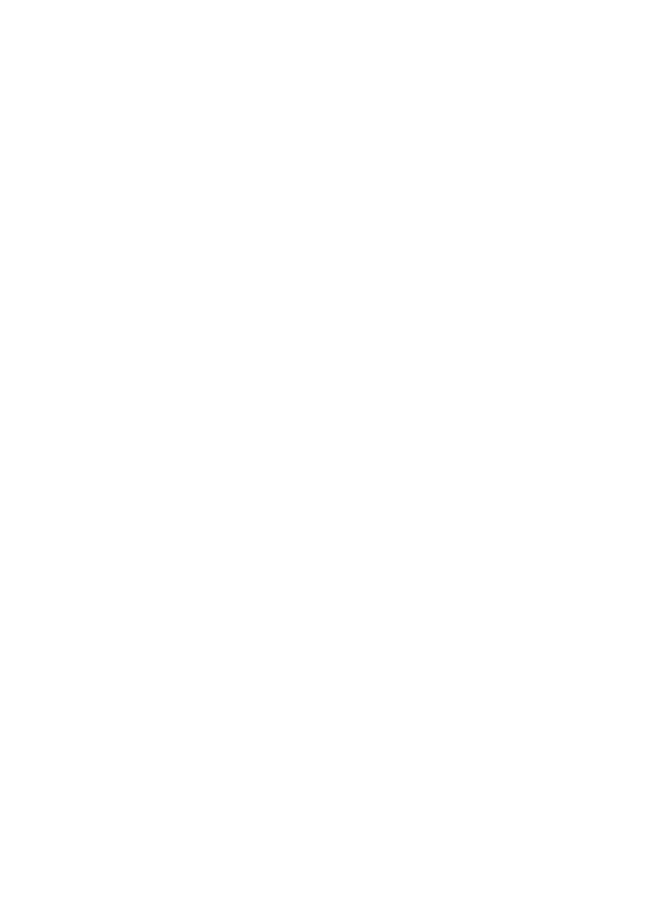| ---- |  |
|------|--|
|      |  |
|      |  |
|      |  |
|      |  |
|      |  |
|      |  |
|      |  |
|      |  |
|      |  |
|      |  |
|      |  |
|      |  |
|      |  |
|      |  |
|      |  |
|      |  |
|      |  |
|      |  |
|      |  |
|      |  |
|      |  |
|      |  |
|      |  |
|      |  |
|      |  |
|      |  |
|      |  |
|      |  |
|      |  |
|      |  |
|      |  |
|      |  |
|      |  |
|      |  |
|      |  |
|      |  |
|      |  |
|      |  |
|      |  |
|      |  |
|      |  |
|      |  |
|      |  |
|      |  |
|      |  |
|      |  |
|      |  |
|      |  |
|      |  |
|      |  |
|      |  |
|      |  |
|      |  |
|      |  |
|      |  |
|      |  |
|      |  |
|      |  |

![](_page_7_Picture_1.jpeg)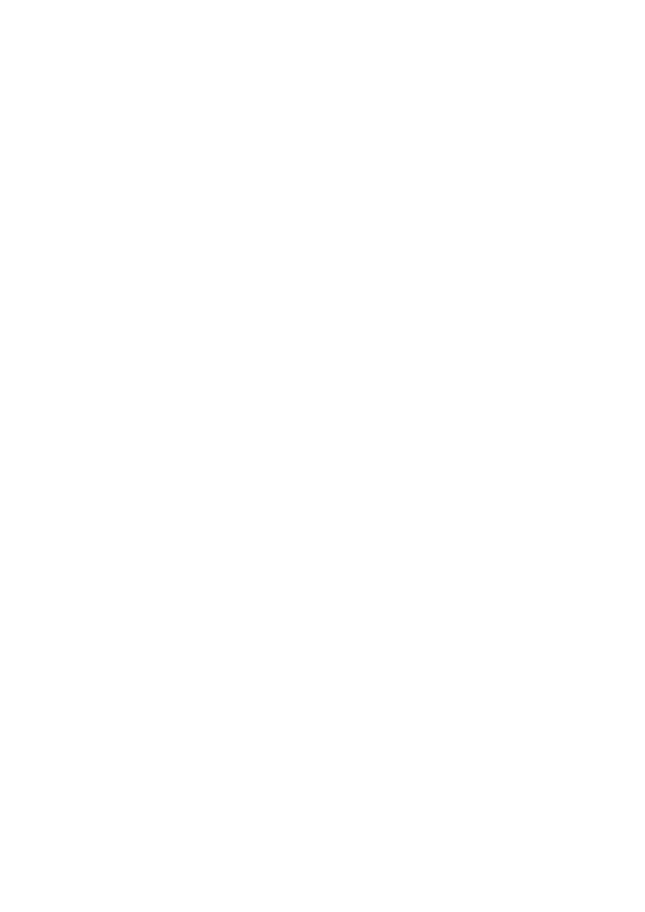| ---- |  |
|------|--|
|      |  |
|      |  |
|      |  |
|      |  |
|      |  |
|      |  |
|      |  |
|      |  |
|      |  |
|      |  |
|      |  |
|      |  |
|      |  |
|      |  |
|      |  |
|      |  |
|      |  |
|      |  |
|      |  |
|      |  |
|      |  |
|      |  |
|      |  |
|      |  |
|      |  |
|      |  |
|      |  |
|      |  |
|      |  |
|      |  |
|      |  |
|      |  |
|      |  |
|      |  |
|      |  |
|      |  |
|      |  |
|      |  |
|      |  |
|      |  |
|      |  |
|      |  |
|      |  |
|      |  |
|      |  |
|      |  |
|      |  |
|      |  |
|      |  |
|      |  |
|      |  |
|      |  |
|      |  |
|      |  |
|      |  |
|      |  |
|      |  |
|      |  |

![](_page_8_Picture_1.jpeg)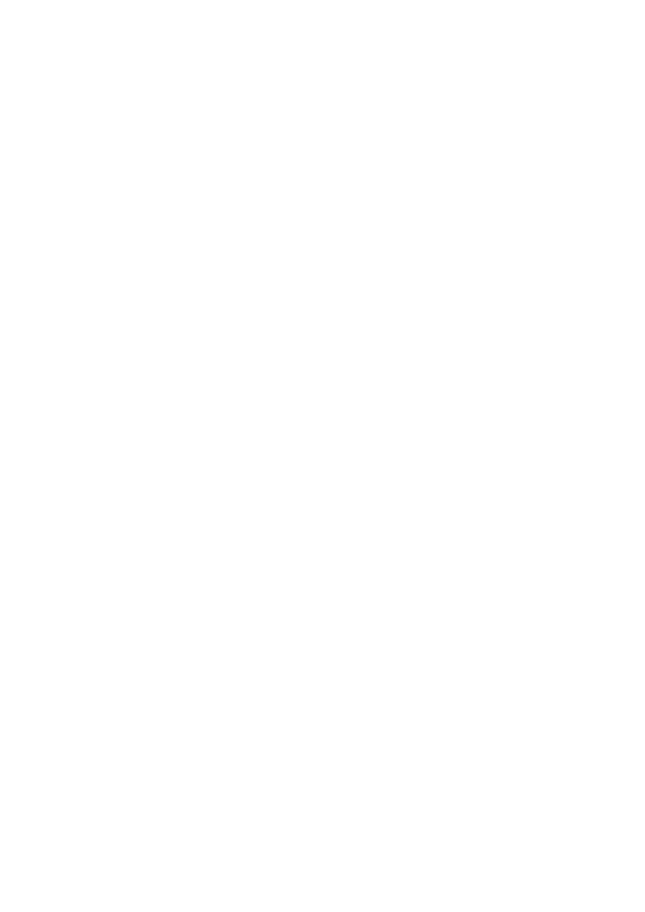| ---- |  |
|------|--|
|      |  |
|      |  |
|      |  |
|      |  |
|      |  |
|      |  |
|      |  |
|      |  |
|      |  |
|      |  |
|      |  |
|      |  |
|      |  |
|      |  |
|      |  |
|      |  |
|      |  |
|      |  |
|      |  |
|      |  |
|      |  |
|      |  |
|      |  |
|      |  |
|      |  |
|      |  |
|      |  |
|      |  |
|      |  |
|      |  |
|      |  |
|      |  |
|      |  |
|      |  |
|      |  |
|      |  |
|      |  |
|      |  |
|      |  |
|      |  |
|      |  |
|      |  |
|      |  |
|      |  |
|      |  |
|      |  |
|      |  |
|      |  |
|      |  |
|      |  |
|      |  |
|      |  |
|      |  |
|      |  |
|      |  |
|      |  |
|      |  |
|      |  |

![](_page_9_Picture_1.jpeg)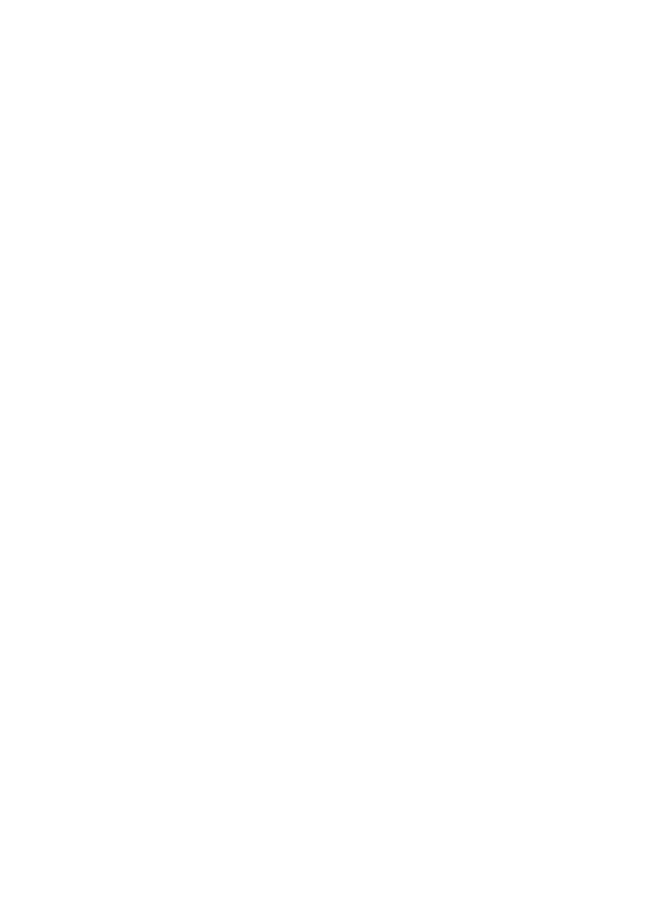| ---- |  |
|------|--|
|      |  |
|      |  |
|      |  |
|      |  |
|      |  |
|      |  |
|      |  |
|      |  |
|      |  |
|      |  |
|      |  |
|      |  |
|      |  |
|      |  |
|      |  |
|      |  |
|      |  |
|      |  |
|      |  |
|      |  |
|      |  |
|      |  |
|      |  |
|      |  |
|      |  |
|      |  |
|      |  |
|      |  |
|      |  |
|      |  |
|      |  |
|      |  |
|      |  |
|      |  |
|      |  |
|      |  |
|      |  |
|      |  |
|      |  |
|      |  |
|      |  |
|      |  |
|      |  |
|      |  |
|      |  |
|      |  |
|      |  |
|      |  |
|      |  |
|      |  |
|      |  |
|      |  |
|      |  |
|      |  |
|      |  |
|      |  |
|      |  |
|      |  |

![](_page_10_Picture_1.jpeg)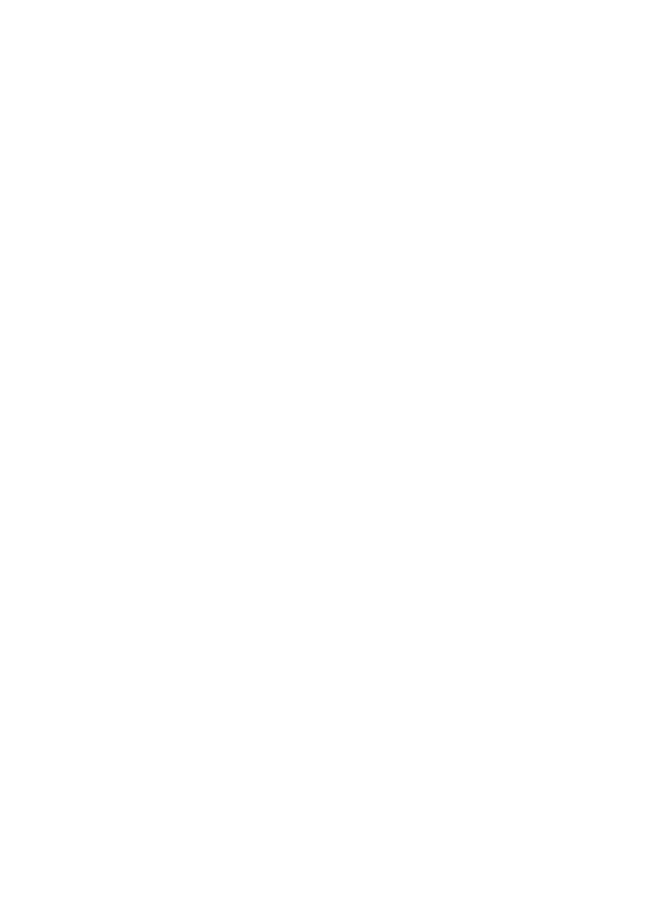| ---- |  |
|------|--|
|      |  |
|      |  |
|      |  |
|      |  |
|      |  |
|      |  |
|      |  |
|      |  |
|      |  |
|      |  |
|      |  |
|      |  |
|      |  |
|      |  |
|      |  |
|      |  |
|      |  |
|      |  |
|      |  |
|      |  |
|      |  |
|      |  |
|      |  |
|      |  |
|      |  |
|      |  |
|      |  |
|      |  |
|      |  |
|      |  |
|      |  |
|      |  |
|      |  |
|      |  |
|      |  |
|      |  |
|      |  |
|      |  |
|      |  |
|      |  |
|      |  |
|      |  |
|      |  |
|      |  |
|      |  |
|      |  |
|      |  |
|      |  |
|      |  |
|      |  |
|      |  |
|      |  |
|      |  |
|      |  |
|      |  |
|      |  |
|      |  |
|      |  |

![](_page_11_Picture_1.jpeg)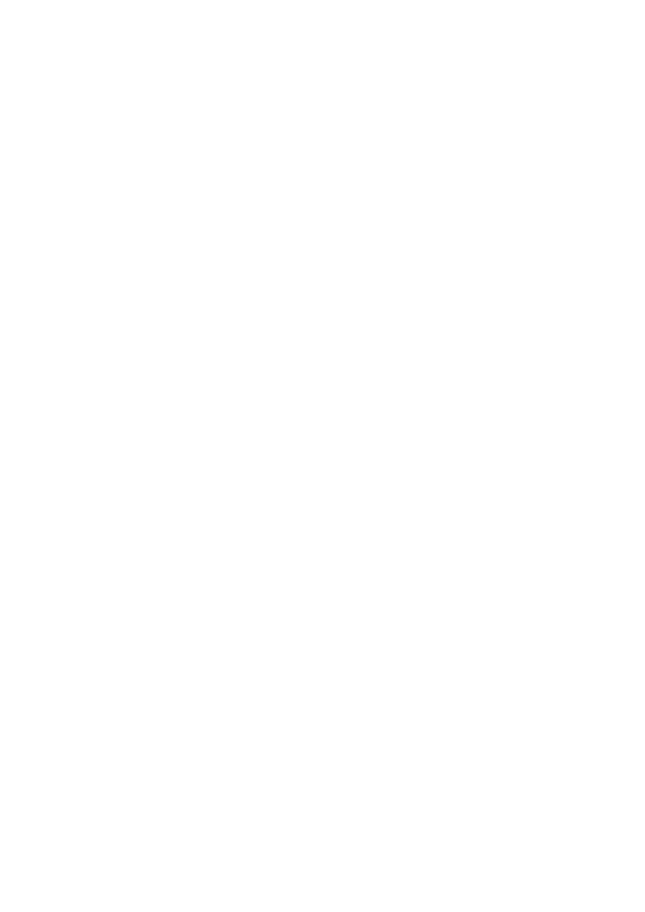| ---- |  |
|------|--|
|      |  |
|      |  |
|      |  |
|      |  |
|      |  |
|      |  |
|      |  |
|      |  |
|      |  |
|      |  |
|      |  |
|      |  |
|      |  |
|      |  |
|      |  |
|      |  |
|      |  |
|      |  |
|      |  |
|      |  |
|      |  |
|      |  |
|      |  |
|      |  |
|      |  |
|      |  |
|      |  |
|      |  |
|      |  |
|      |  |
|      |  |
|      |  |
|      |  |
|      |  |
|      |  |
|      |  |
|      |  |
|      |  |
|      |  |
|      |  |
|      |  |
|      |  |
|      |  |
|      |  |
|      |  |
|      |  |
|      |  |
|      |  |
|      |  |
|      |  |
|      |  |
|      |  |
|      |  |
|      |  |
|      |  |
|      |  |
|      |  |
|      |  |

![](_page_12_Picture_1.jpeg)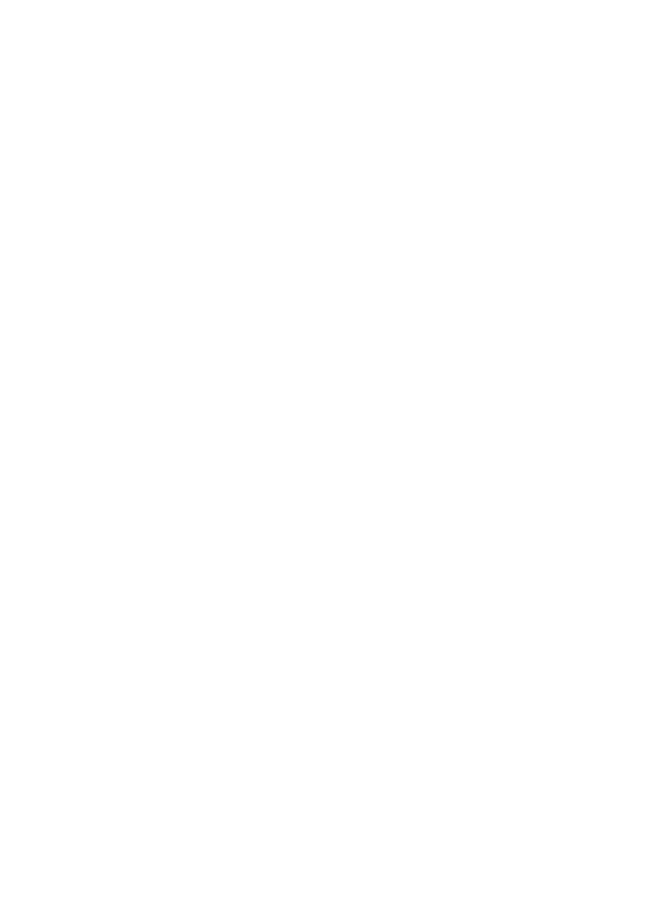| ---- |  |
|------|--|
|      |  |
|      |  |
|      |  |
|      |  |
|      |  |
|      |  |
|      |  |
|      |  |
|      |  |
|      |  |
|      |  |
|      |  |
|      |  |
|      |  |
|      |  |
|      |  |
|      |  |
|      |  |
|      |  |
|      |  |
|      |  |
|      |  |
|      |  |
|      |  |
|      |  |
|      |  |
|      |  |
|      |  |
|      |  |
|      |  |
|      |  |
|      |  |
|      |  |
|      |  |
|      |  |
|      |  |
|      |  |
|      |  |
|      |  |
|      |  |
|      |  |
|      |  |
|      |  |
|      |  |
|      |  |
|      |  |
|      |  |
|      |  |
|      |  |
|      |  |
|      |  |
|      |  |
|      |  |
|      |  |
|      |  |
|      |  |
|      |  |
|      |  |

![](_page_13_Picture_1.jpeg)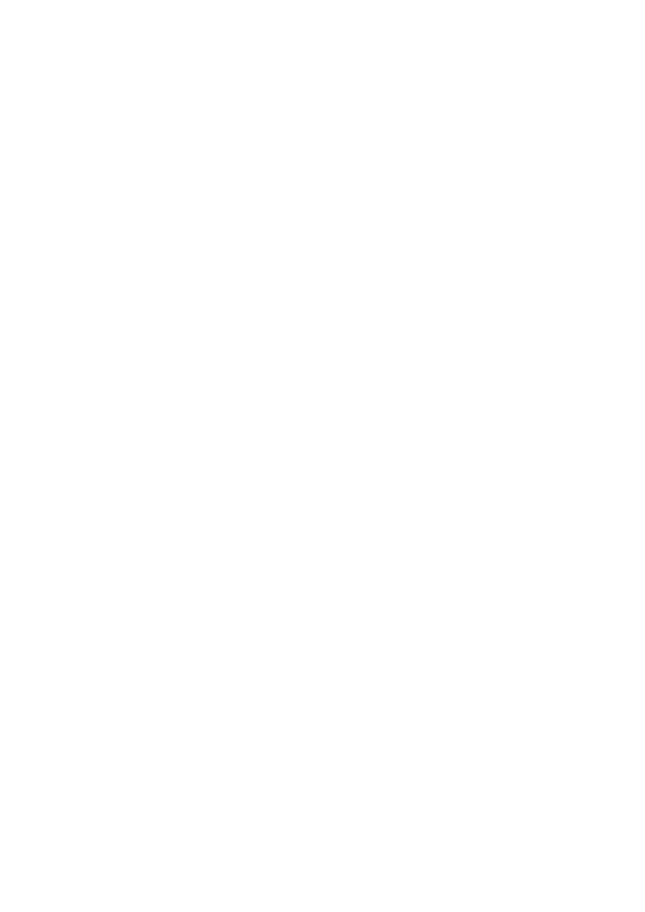| ---- |  |
|------|--|
|      |  |
|      |  |
|      |  |
|      |  |
|      |  |
|      |  |
|      |  |
|      |  |
|      |  |
|      |  |
|      |  |
|      |  |
|      |  |
|      |  |
|      |  |
|      |  |
|      |  |
|      |  |
|      |  |
|      |  |
|      |  |
|      |  |
|      |  |
|      |  |
|      |  |
|      |  |
|      |  |
|      |  |
|      |  |
|      |  |
|      |  |
|      |  |
|      |  |
|      |  |
|      |  |
|      |  |
|      |  |
|      |  |
|      |  |
|      |  |
|      |  |
|      |  |
|      |  |
|      |  |
|      |  |
|      |  |
|      |  |
|      |  |
|      |  |
|      |  |
|      |  |
|      |  |
|      |  |
|      |  |
|      |  |
|      |  |
|      |  |
|      |  |

![](_page_14_Picture_1.jpeg)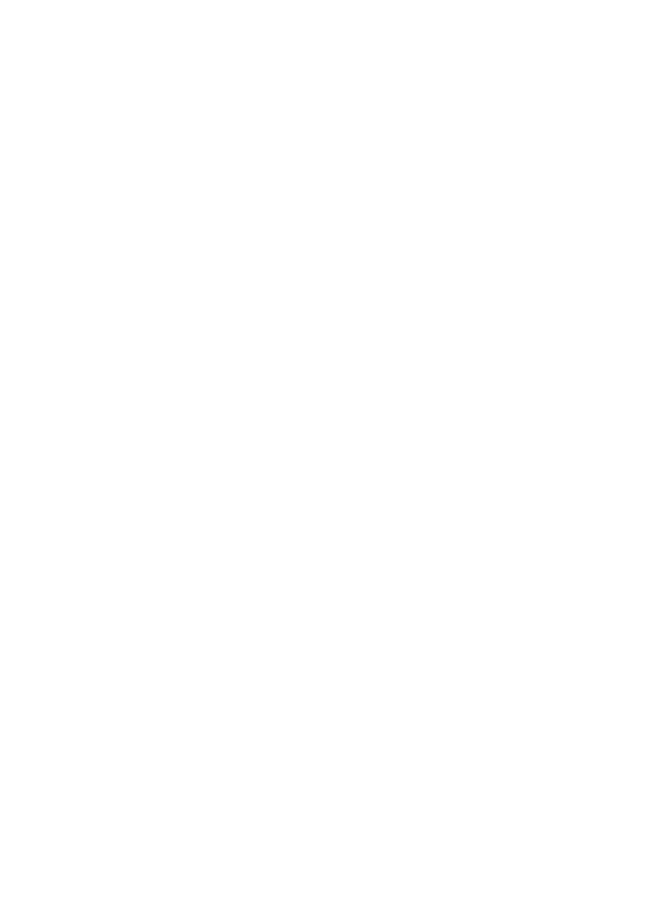| ---- |  |
|------|--|
|      |  |
|      |  |
|      |  |
|      |  |
|      |  |
|      |  |
|      |  |
|      |  |
|      |  |
|      |  |
|      |  |
|      |  |
|      |  |
|      |  |
|      |  |
|      |  |
|      |  |
|      |  |
|      |  |
|      |  |
|      |  |
|      |  |
|      |  |
|      |  |
|      |  |
|      |  |
|      |  |
|      |  |
|      |  |
|      |  |
|      |  |
|      |  |
|      |  |
|      |  |
|      |  |
|      |  |
|      |  |
|      |  |
|      |  |
|      |  |
|      |  |
|      |  |
|      |  |
|      |  |
|      |  |
|      |  |
|      |  |
|      |  |
|      |  |
|      |  |
|      |  |
|      |  |
|      |  |
|      |  |
|      |  |
|      |  |
|      |  |
|      |  |

![](_page_15_Picture_1.jpeg)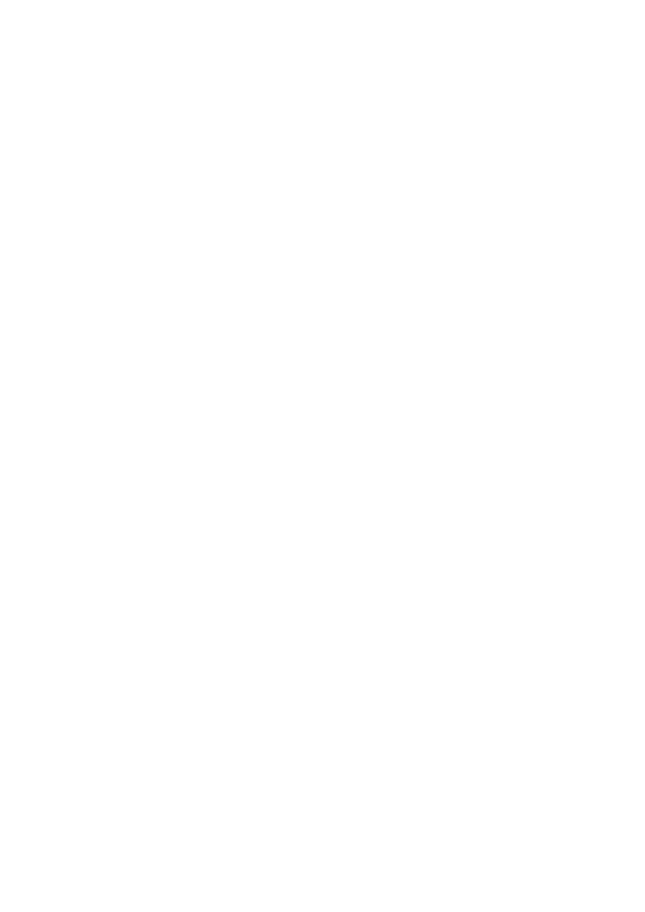| ---- |  |
|------|--|
|      |  |
|      |  |
|      |  |
|      |  |
|      |  |
|      |  |
|      |  |
|      |  |
|      |  |
|      |  |
|      |  |
|      |  |
|      |  |
|      |  |
|      |  |
|      |  |
|      |  |
|      |  |
|      |  |
|      |  |
|      |  |
|      |  |
|      |  |
|      |  |
|      |  |
|      |  |
|      |  |
|      |  |
|      |  |
|      |  |
|      |  |
|      |  |
|      |  |
|      |  |
|      |  |
|      |  |
|      |  |
|      |  |
|      |  |
|      |  |
|      |  |
|      |  |
|      |  |
|      |  |
|      |  |
|      |  |
|      |  |
|      |  |
|      |  |
|      |  |
|      |  |
|      |  |
|      |  |
|      |  |
|      |  |
|      |  |
|      |  |
|      |  |

![](_page_16_Picture_1.jpeg)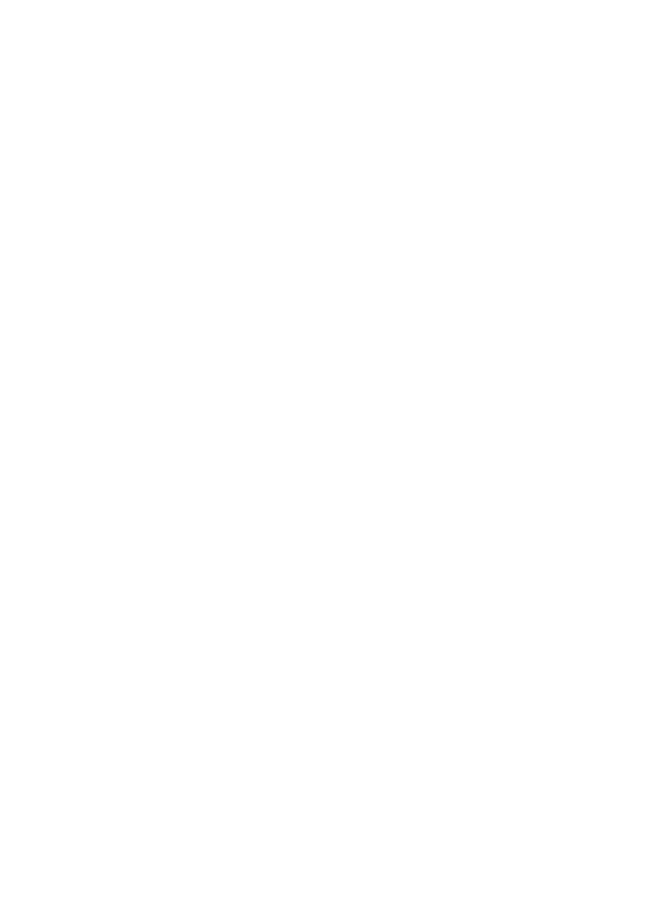| ---- |  |
|------|--|
|      |  |
|      |  |
|      |  |
|      |  |
|      |  |
|      |  |
|      |  |
|      |  |
|      |  |
|      |  |
|      |  |
|      |  |
|      |  |
|      |  |
|      |  |
|      |  |
|      |  |
|      |  |
|      |  |
|      |  |
|      |  |
|      |  |
|      |  |
|      |  |
|      |  |
|      |  |
|      |  |
|      |  |
|      |  |
|      |  |
|      |  |
|      |  |
|      |  |
|      |  |
|      |  |
|      |  |
|      |  |
|      |  |
|      |  |
|      |  |
|      |  |
|      |  |
|      |  |
|      |  |
|      |  |
|      |  |
|      |  |
|      |  |
|      |  |
|      |  |
|      |  |
|      |  |
|      |  |
|      |  |
|      |  |
|      |  |
|      |  |
|      |  |

![](_page_17_Picture_1.jpeg)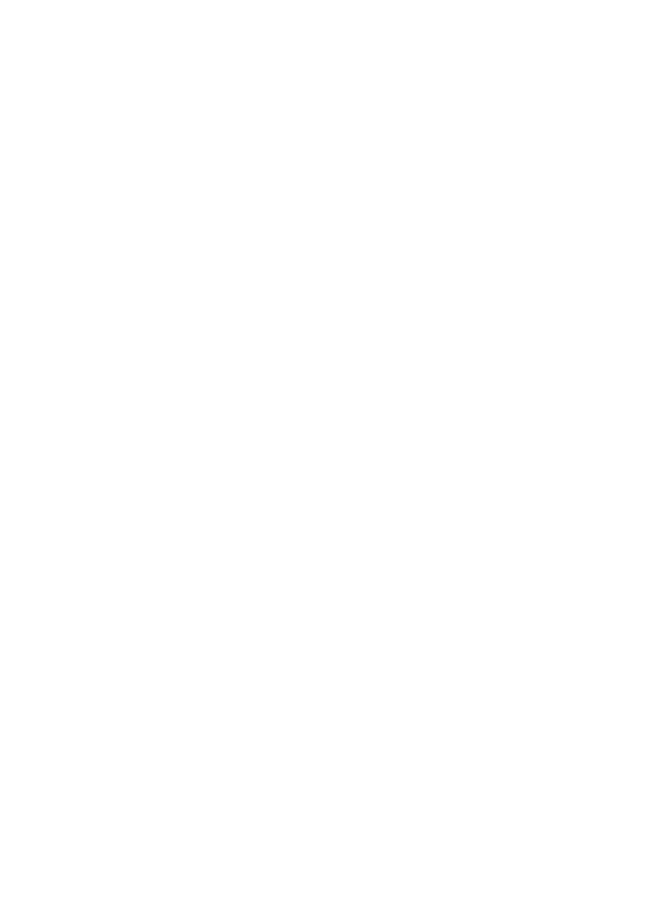| ---- |  |
|------|--|
|      |  |
|      |  |
|      |  |
|      |  |
|      |  |
|      |  |
|      |  |
|      |  |
|      |  |
|      |  |
|      |  |
|      |  |
|      |  |
|      |  |
|      |  |
|      |  |
|      |  |
|      |  |
|      |  |
|      |  |
|      |  |
|      |  |
|      |  |
|      |  |
|      |  |
|      |  |
|      |  |
|      |  |
|      |  |
|      |  |
|      |  |
|      |  |
|      |  |
|      |  |
|      |  |
|      |  |
|      |  |
|      |  |
|      |  |
|      |  |
|      |  |
|      |  |
|      |  |
|      |  |
|      |  |
|      |  |
|      |  |
|      |  |
|      |  |
|      |  |
|      |  |
|      |  |
|      |  |
|      |  |
|      |  |
|      |  |
|      |  |
|      |  |

![](_page_18_Picture_1.jpeg)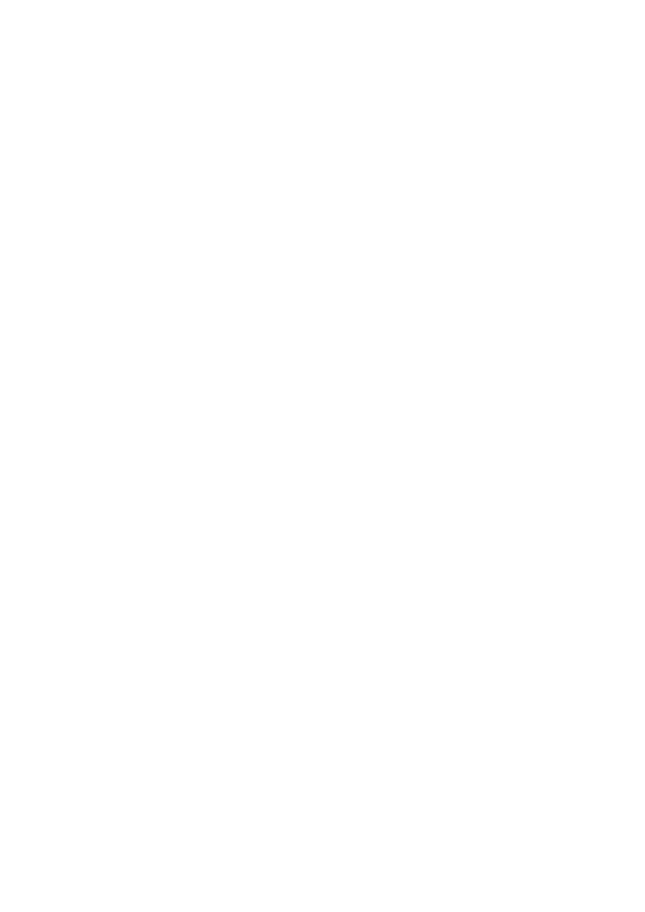| ---- |  |
|------|--|
|      |  |
|      |  |
|      |  |
|      |  |
|      |  |
|      |  |
|      |  |
|      |  |
|      |  |
|      |  |
|      |  |
|      |  |
|      |  |
|      |  |
|      |  |
|      |  |
|      |  |
|      |  |
|      |  |
|      |  |
|      |  |
|      |  |
|      |  |
|      |  |
|      |  |
|      |  |
|      |  |
|      |  |
|      |  |
|      |  |
|      |  |
|      |  |
|      |  |
|      |  |
|      |  |
|      |  |
|      |  |
|      |  |
|      |  |
|      |  |
|      |  |
|      |  |
|      |  |
|      |  |
|      |  |
|      |  |
|      |  |
|      |  |
|      |  |
|      |  |
|      |  |
|      |  |
|      |  |
|      |  |
|      |  |
|      |  |
|      |  |
|      |  |

![](_page_19_Picture_1.jpeg)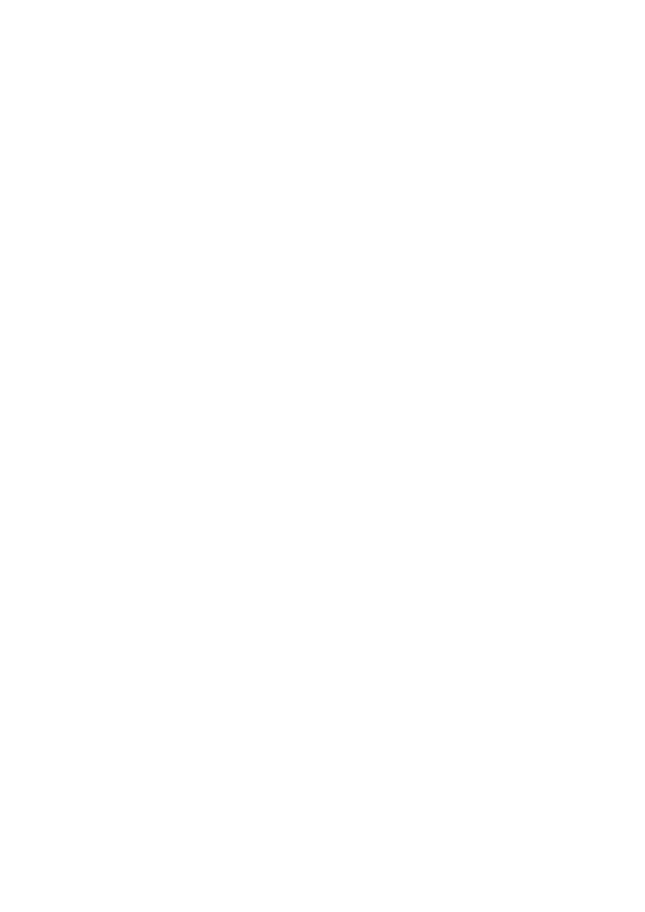| ---- |  |
|------|--|
|      |  |
|      |  |
|      |  |
|      |  |
|      |  |
|      |  |
|      |  |
|      |  |
|      |  |
|      |  |
|      |  |
|      |  |
|      |  |
|      |  |
|      |  |
|      |  |
|      |  |
|      |  |
|      |  |
|      |  |
|      |  |
|      |  |
|      |  |
|      |  |
|      |  |
|      |  |
|      |  |
|      |  |
|      |  |
|      |  |
|      |  |
|      |  |
|      |  |
|      |  |
|      |  |
|      |  |
|      |  |
|      |  |
|      |  |
|      |  |
|      |  |
|      |  |
|      |  |
|      |  |
|      |  |
|      |  |
|      |  |
|      |  |
|      |  |
|      |  |
|      |  |
|      |  |
|      |  |
|      |  |
|      |  |
|      |  |
|      |  |
|      |  |

![](_page_20_Picture_1.jpeg)